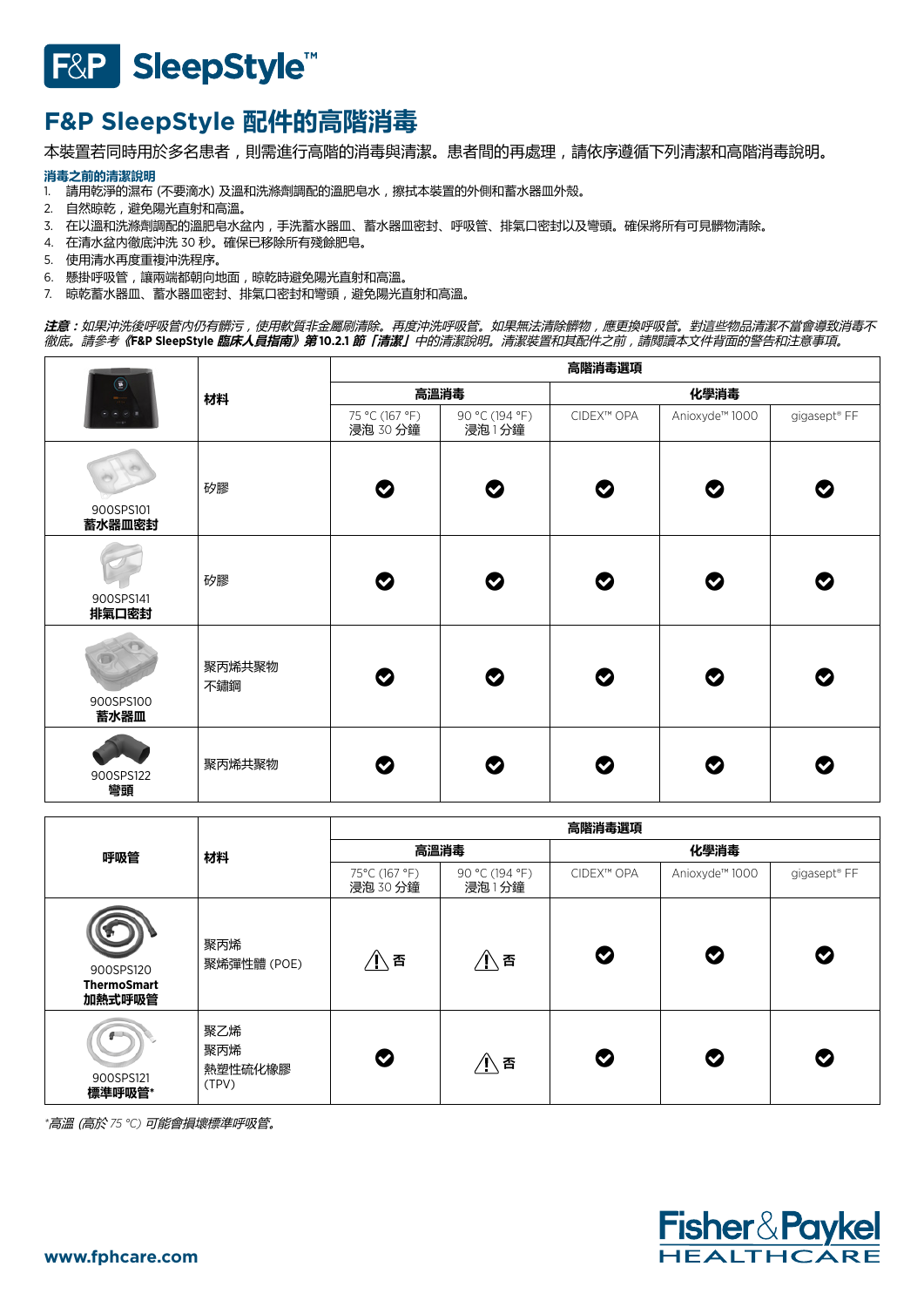# F&P SleepStyle<sup>™</sup>

# **F&P SleepStyle 配件的高階消毒**

本裝置若同時用於多名患者,則需進行高階的消毒與清潔。患者間的再處理,請依序遵循下列清潔和高階消毒說明。

# **消毒之前的清潔說明**

- 1. 請用乾淨的濕布 (不要滴水) 及溫和洗滌劑調配的溫肥皂水,擦拭本裝置的外側和蓄水器皿外殼。
- 2. 自然晾乾,避免陽光直射和高溫。
- 3. 在以溫和洗滌劑調配的溫肥皂水盆內,手洗蓄水器皿、蓄水器皿密封、呼吸管、排氣口密封以及彎頭。確保將所有可見髒物清除。
- 4. 在清水盆內徹底沖洗 30 秒。確保已移除所有殘餘肥皂。
- 5. 使用清水再度重複沖洗程序。
- 6. 懸掛呼吸管,讓兩端都朝向地面,晾乾時避免陽光直射和高溫。
- 7. 晾乾蓄水器皿、蓄水器皿密封、排氣口密封和彎頭,避免陽光直射和高溫。

**注意:**如果沖洗後呼吸管內仍有髒污,使用軟質非金屬刷清除。再度沖洗呼吸管。如果無法清除髒物,應更換呼吸管。對這些物品清潔不當會導致消毒不 徹底。請參考**《F&P SleepStyle 臨床人員指南》第 10.2.1 節「清潔」**中的清潔說明。清潔裝置和其配件之前,請閱讀本文件背面的警告和注意事項。

| $\circ$             | 材料            | 高階消毒選項                     |                         |            |                |              |  |
|---------------------|---------------|----------------------------|-------------------------|------------|----------------|--------------|--|
|                     |               | 高溫消毒                       |                         | 化學消毒       |                |              |  |
|                     |               | 75 °C (167 °F)<br>浸泡 30 分鐘 | 90 °C (194 °F)<br>浸泡1分鐘 | CIDEX™ OPA | Anioxyde™ 1000 | gigasept® FF |  |
| 900SPS101<br>蓄水器皿密封 | 矽膠            | $\boldsymbol{\circ}$       | $\bullet$               | $\bullet$  | ◎              | ◎            |  |
| 900SPS141<br>排氣口密封  | 矽膠            | Ø                          | Ø                       | Ø          | Ø              | Ø            |  |
| 900SPS100<br>蓄水器皿   | 聚丙烯共聚物<br>不鏽鋼 | Ø                          | $\bullet$               | Ø          | Ø              | Ø            |  |
| 900SPS122<br>彎頭     | 聚丙烯共聚物        | Ø                          | ◎                       | Ø          | Ø              | Ø            |  |

| 呼吸管                                       | 材料                             | 高階消毒選項                    |                         |            |                            |              |  |
|-------------------------------------------|--------------------------------|---------------------------|-------------------------|------------|----------------------------|--------------|--|
|                                           |                                | 高溫消毒                      |                         | 化學消毒       |                            |              |  |
|                                           |                                | 75°C (167 °F)<br>浸泡 30 分鐘 | 90 °C (194 °F)<br>浸泡1分鐘 | CIDEX™ OPA | Anioxyde <sup>™</sup> 1000 | gigasept® FF |  |
| 900SPS120<br><b>ThermoSmart</b><br>加熱式呼吸管 | 聚丙烯<br>聚烯彈性體 (POE)             | 小香                        |                         | Ø          | Ø                          | Ø            |  |
| 900SPS121<br>標準呼吸管*                       | 聚乙烯<br>聚丙烯<br>熱塑性硫化橡膠<br>(TPV) | ♡                         | ∕l∖否                    | Ø          | Ø                          | Ø            |  |

*\**高溫 (高於 *75 °C)* 可能會損壞標準呼吸管。